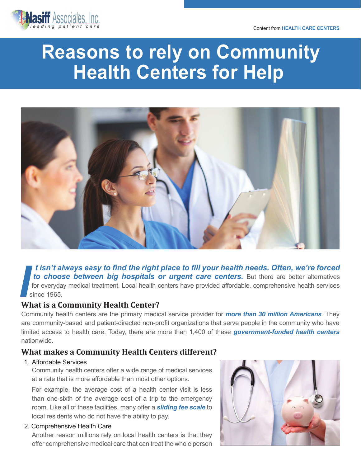

# **Reasons to rely on Community Health Centers for Help**



 *t isn't always easy to find the right place to fill your health needs. Often, we're forced to choose between big hospitals or urgent care centers.* But there are better alternatives for everyday medical treatment. Local health centers have provided affordable, comprehensive health services<br>since 1965.<br>What is a Community Health Center?

## **What is a Community Health Center?**

Community health centers are the primary medical service provider for *[more than 30 million Americans](https://www.nachc.org/research-and-data/research-fact-sheets-and-infographics/americas-health-centers-2020-snapshot/)*. They are community-based and patient-directed non-profit organizations that serve people in the community who have limited access to health care. Today, there are more than 1,400 of these *[government-funded health centers](https://advantagecaredtc.org/what-is-an-fqhc/)* nationwide.

# **What makes a Community Health Centers different?**

#### 1. Affordable Services

Community health centers offer a wide range of medical services at a rate that is more affordable than most other options.

For example, the average cost of a health center visit is less than one-sixth of the average cost of a trip to the emergency room. Like all of these facilities, many offer a *[sliding fee scale](https://advantagecaredtc.org/types-of-health-insurance/)* to local residents who do not have the ability to pay.

#### 2. Comprehensive Health Care

Another reason millions rely on local health centers is that they offer comprehensive medical care that can treat the whole person